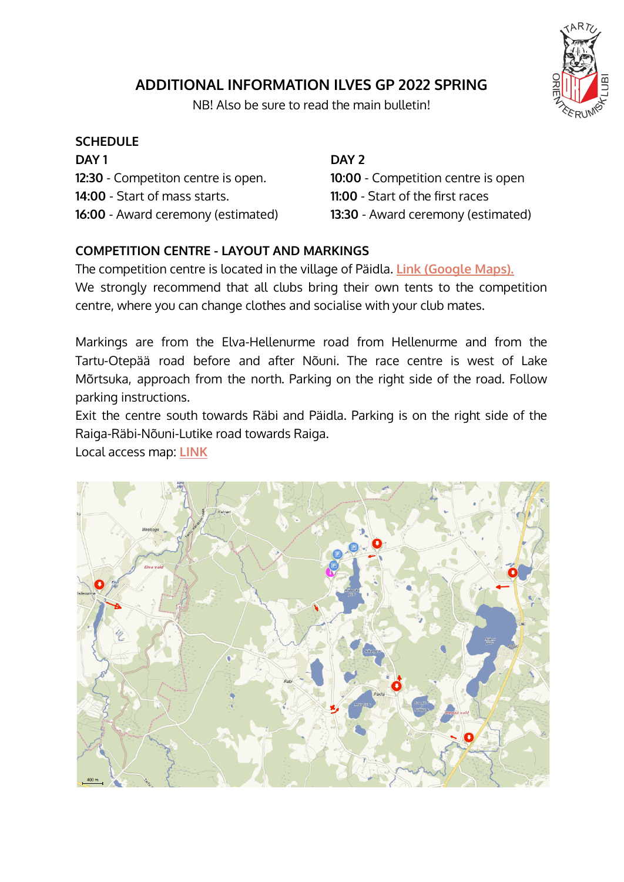# **ADDITIONAL INFORMATION ILVES GP 2022 SPRING**



#### **SCHEDULE**

**DAY 1 12:30** - Competiton centre is open. **14:00** - Start of mass starts. **16:00** - Award ceremony (estimated)

### **DAY 2**

**10:00** - Competition centre is open **11:00** - Start of the first races **13:30** - Award ceremony (estimated)

# **COMPETITION CENTRE - LAYOUT AND MARKINGS**

The competition centre is located in the village of Päidla. **[Link \(Google Maps\).](https://goo.gl/maps/JnhWCHSTmgM98faU6)** We strongly recommend that all clubs bring their own tents to the competition centre, where you can change clothes and socialise with your club mates.

Markings are from the Elva-Hellenurme road from Hellenurme and from the Tartu-Otepää road before and after Nõuni. The race centre is west of Lake Mõrtsuka, approach from the north. Parking on the right side of the road. Follow parking instructions.

Exit the centre south towards Räbi and Päidla. Parking is on the right side of the Raiga-Räbi-Nõuni-Lutike road towards Raiga.

Local access map: **[LINK](https://kaart.delfi.ee/?bookmark=3ea8744034fe80d95b65f39e623f28fd)**



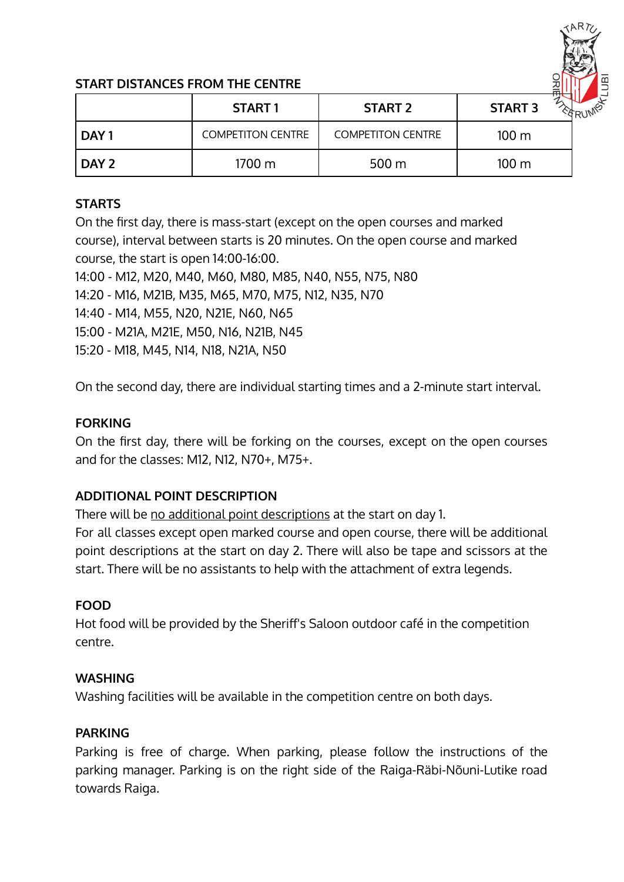

## **START DISTANCES FROM THE CENTRE**

|                  | <b>START1</b>            | <b>START 2</b>           | <b>START 3</b>   |
|------------------|--------------------------|--------------------------|------------------|
| DAY <sub>1</sub> | <b>COMPETITON CENTRE</b> | <b>COMPETITON CENTRE</b> | 100 <sub>m</sub> |
| DAY 2            | 1700 m                   | $500 \,\mathrm{m}$       | 100 <sub>m</sub> |

#### **STARTS**

On the first day, there is mass-start (except on the open courses and marked course), interval between starts is 20 minutes. On the open course and marked course, the start is open 14:00-16:00.

14:00 - M12, M20, M40, M60, M80, M85, N40, N55, N75, N80

14:20 - M16, M21B, M35, M65, M70, M75, N12, N35, N70

14:40 - M14, M55, N20, N21E, N60, N65

15:00 - M21A, M21E, M50, N16, N21B, N45

15:20 - M18, M45, N14, N18, N21A, N50

On the second day, there are individual starting times and a 2-minute start interval.

### **FORKING**

On the first day, there will be forking on the courses, except on the open courses and for the classes: M12, N12, N70+, M75+.

# **ADDITIONAL POINT DESCRIPTION**

There will be no additional point descriptions at the start on day 1.

For all classes except open marked course and open course, there will be additional point descriptions at the start on day 2. There will also be tape and scissors at the start. There will be no assistants to help with the attachment of extra legends.

# **FOOD**

Hot food will be provided by the Sheriff's Saloon outdoor café in the competition centre.

#### **WASHING**

Washing facilities will be available in the competition centre on both days.

# **PARKING**

Parking is free of charge. When parking, please follow the instructions of the parking manager. Parking is on the right side of the Raiga-Räbi-Nõuni-Lutike road towards Raiga.